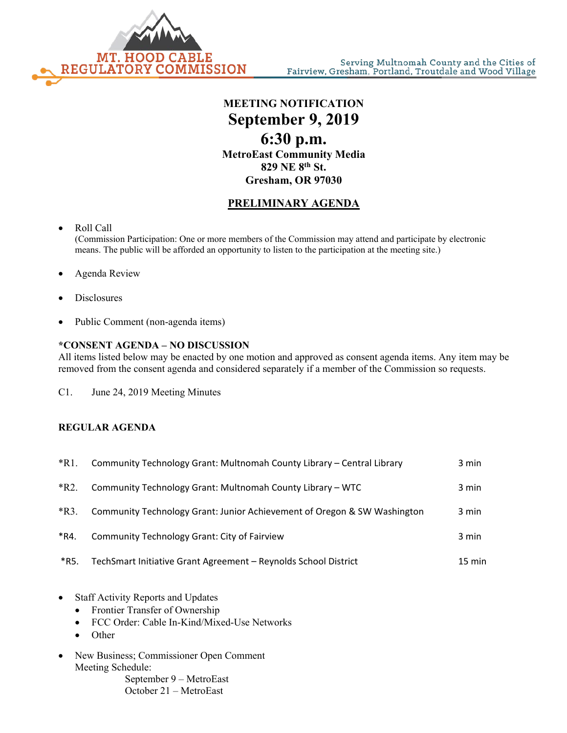

**MEETING NOTIFICATION September 9, 2019 6:30 p.m. MetroEast Community Media 829 NE 8th St. Gresham, OR 97030**

## **PRELIMINARY AGENDA**

- Roll Call (Commission Participation: One or more members of the Commission may attend and participate by electronic means. The public will be afforded an opportunity to listen to the participation at the meeting site.)
- Agenda Review
- **Disclosures**
- Public Comment (non-agenda items)

## **\*CONSENT AGENDA – NO DISCUSSION**

All items listed below may be enacted by one motion and approved as consent agenda items. Any item may be removed from the consent agenda and considered separately if a member of the Commission so requests.

C1. June 24, 2019 Meeting Minutes

## **REGULAR AGENDA**

| $*R1$ . | Community Technology Grant: Multnomah County Library - Central Library   | 3 min  |
|---------|--------------------------------------------------------------------------|--------|
| $*R2.$  | Community Technology Grant: Multnomah County Library - WTC               | 3 min  |
| $*R3$ . | Community Technology Grant: Junior Achievement of Oregon & SW Washington | 3 min  |
| *R4.    | <b>Community Technology Grant: City of Fairview</b>                      | 3 min  |
| *R5.    | TechSmart Initiative Grant Agreement - Reynolds School District          | 15 min |

- Staff Activity Reports and Updates
	- Frontier Transfer of Ownership
	- FCC Order: Cable In-Kind/Mixed-Use Networks
	- Other
- New Business; Commissioner Open Comment Meeting Schedule:

September 9 – MetroEast October 21 – MetroEast